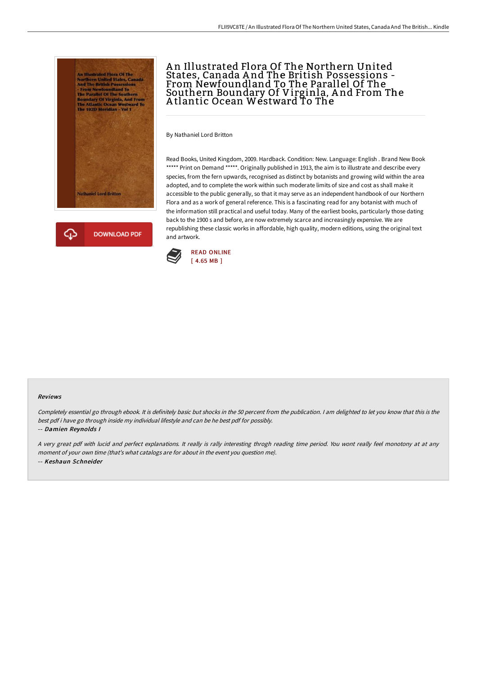



## An Illustrated Flora Of The Northern United States, Canada A nd The British Possessions - From Newfoundland To The Parallel Of The Southern Boundary Of Virginla, A nd From The A tlantic Ocean Westward To The

By Nathaniel Lord Britton

Read Books, United Kingdom, 2009. Hardback. Condition: New. Language: English . Brand New Book \*\*\*\*\* Print on Demand \*\*\*\*\*. Originally published in 1913, the aim is to illustrate and describe every species, from the fern upwards, recognised as distinct by botanists and growing wild within the area adopted, and to complete the work within such moderate limits of size and cost as shall make it accessible to the public generally, so that it may serve as an independent handbook of our Northern Flora and as a work of general reference. This is a fascinating read for any botanist with much of the information still practical and useful today. Many of the earliest books, particularly those dating back to the 1900 s and before, are now extremely scarce and increasingly expensive. We are republishing these classic works in affordable, high quality, modern editions, using the original text and artwork.



## Reviews

Completely essential go through ebook. It is definitely basic but shocks in the <sup>50</sup> percent from the publication. <sup>I</sup> am delighted to let you know that this is the best pdf i have go through inside my individual lifestyle and can be he best pdf for possibly.

## -- Damien Reynolds I

<sup>A</sup> very great pdf with lucid and perfect explanations. It really is rally interesting throgh reading time period. You wont really feel monotony at at any moment of your own time (that's what catalogs are for about in the event you question me). -- Keshaun Schneider